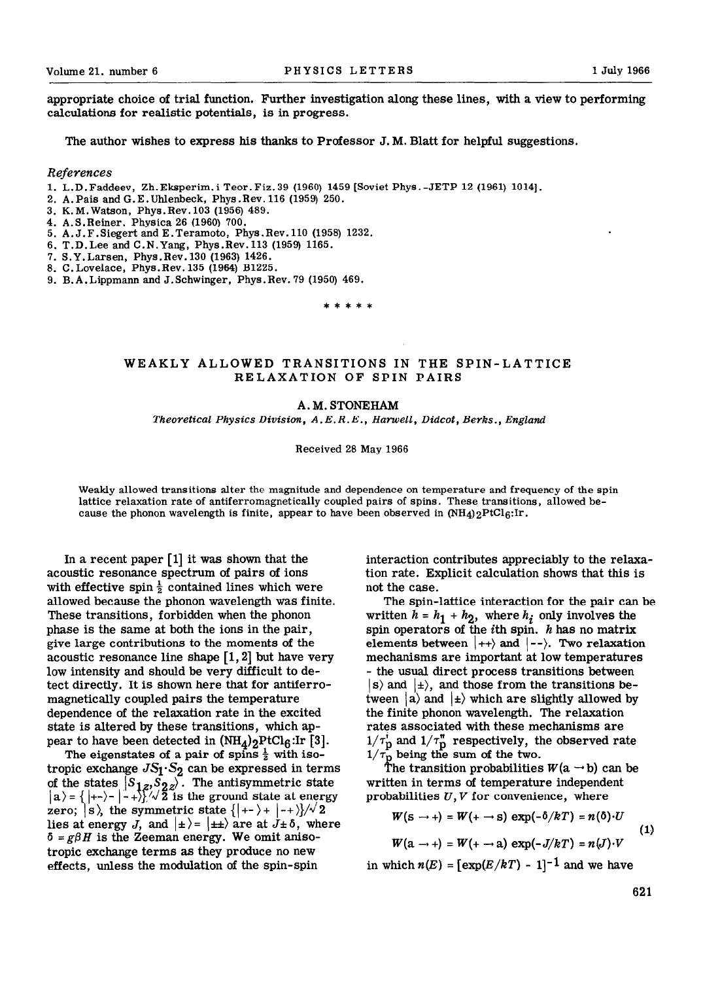appropriate choice of trial function. Further investigation along these lines, with a view to performing calculations for realistic potentials, is in progress.

The author wishes to express his thanks to Professor J. M. Blatt for helpful suggestions.

## *References*

- 1. L.D.Faddeev, Zh.Ekaperim.i Teor.Fiz.39 (1960) 1459 [Soviet Phya.-JETP 12 (1961) 10141.
- 2. A.Pais and G.E.Uhlenheck, Phys .Rev. 116 (1959) 250.
- 3. K.M.Wataon, Phya.Rev.103 (1956) 489.
- 4. A.S.Reiner, Phyaica 26 (1960) 700.
- 5. A.J.F.Siegert and E.Teramoto, Phya.Rev.110 (1958) 1232.
- 6. T.D. Lee and C.N.Yang, Phys.Rev. 113 (1959) 1165.
- 7. S.Y. Larsen, Phys.Rev. 130 (1963) 1426.
- 8. C.Lovelace, Phys.Rev. 135 (1964) B1225.
- 9. B.A.Lippmann and J.Schwinger, Phys.Rev. 79 (1950) 469.

\*\*\*\*\*

## WEAKLY ALLOWED TRANSITIONS IN THE SPIN-LATTICE RELAXATION OF SPIN PAIRS

## A.M. STONEHAM

*Theoretical Physics Division, A.E. R. E., Hamell, Didcot, Berhs., England* 

Received 28 May 1966

Weakly allowed transitions alter the magnitude and dependence on temperature and frequency of the spin lattice relaxation rate of antiferromagnetically coupled pairs of spins. These transitions, allowed because the phonon wavelength is finite, appear to have been observed in  $(NH_4)$ <sub>2</sub>PtCl<sub>6</sub>:Ir.

In a recent paper  $[1]$  it was shown that the acoustic resonance spectrum of pairs of ions with effective spin  $\frac{1}{2}$  contained lines which were allowed because the phonon wavelength was finite. These transitions, forbidden when the phonon phase is the same at both the ions in the pair, give large contributions to the moments of the acoustic resonance line shape  $\lceil 1, 2 \rceil$  but have very low intensity and should be very difficult to detect directly. It is shown here that for antiferromagnetically coupled pairs the temperature dependence of the relaxation rate in the excited state is altered by these transitions, which appear to have been detected in  $(NH_4)_2$ PtCl $_6$ :Ir [3].

The eigenstates of a pair of spins  $\frac{1}{2}$  with isotropic exchange *JSl\*S2 can* be expressed in terms of the states  $[S_{1z}, S_{2z}]$ . The antisymmetric state  $|a\rangle = \{|+-\rangle - |-+\rangle$ .  $\sqrt{2}$  is the ground state at energy zero;  $|s\rangle$ , the symmetric state  $\{|+-\rangle + |-+\rangle}/\sqrt{2}$ lies at energy *J*, and  $| \pm \rangle = | \pm \pm \rangle$  are at  $J \pm \delta$ , where  $\delta = g\beta H$  is the Zeeman energy. We omit anisotropic exchange terms as they produce no new effects, unless the modulation of the spin-spin

interaction contributes appreciably to the relaxation rate. Explicit calculation shows that this is not the case.

The spin-lattice interaction for the pair can be written  $h = h_1 + h_2$ , where  $h_i$  only involves the spin operators of the *i*th spin. h has no matrix elements between  $\vert ++\rangle$  and  $\vert --\rangle$ . Two relaxation mechanisms are important at low temperatures - the usual direct process transitions between  $|s\rangle$  and  $|t\rangle$ , and those from the transitions between  $|a\rangle$  and  $|+\rangle$  which are slightly allowed by the finite phonon wavelength. The relaxation rates associated with these mechanisms are  $1/\tau_{\mathbf{n}}^{\mathbf{r}}$  and  $1/\tau_{\mathbf{n}}^{\mathbf{r}}$  respectively, the observed rate  $1/$ being the sum of the two.

T) he transition probabilities  $W(\text{a} \rightarrow \text{b})$  can be written in terms of temperature independent probabilities  $U, V$  for convenience, where

$$
W(s \rightarrow +) = W(+ \rightarrow s) \exp(-\delta/kT) = n(\delta) \cdot U
$$
  
\n
$$
W(a \rightarrow +) = W(+ \rightarrow a) \exp(-J/kT) = n(J) \cdot V
$$
\n(1)

in which  $n(E) = \left[\exp(E/kT) - 1\right]^{-1}$  and we have